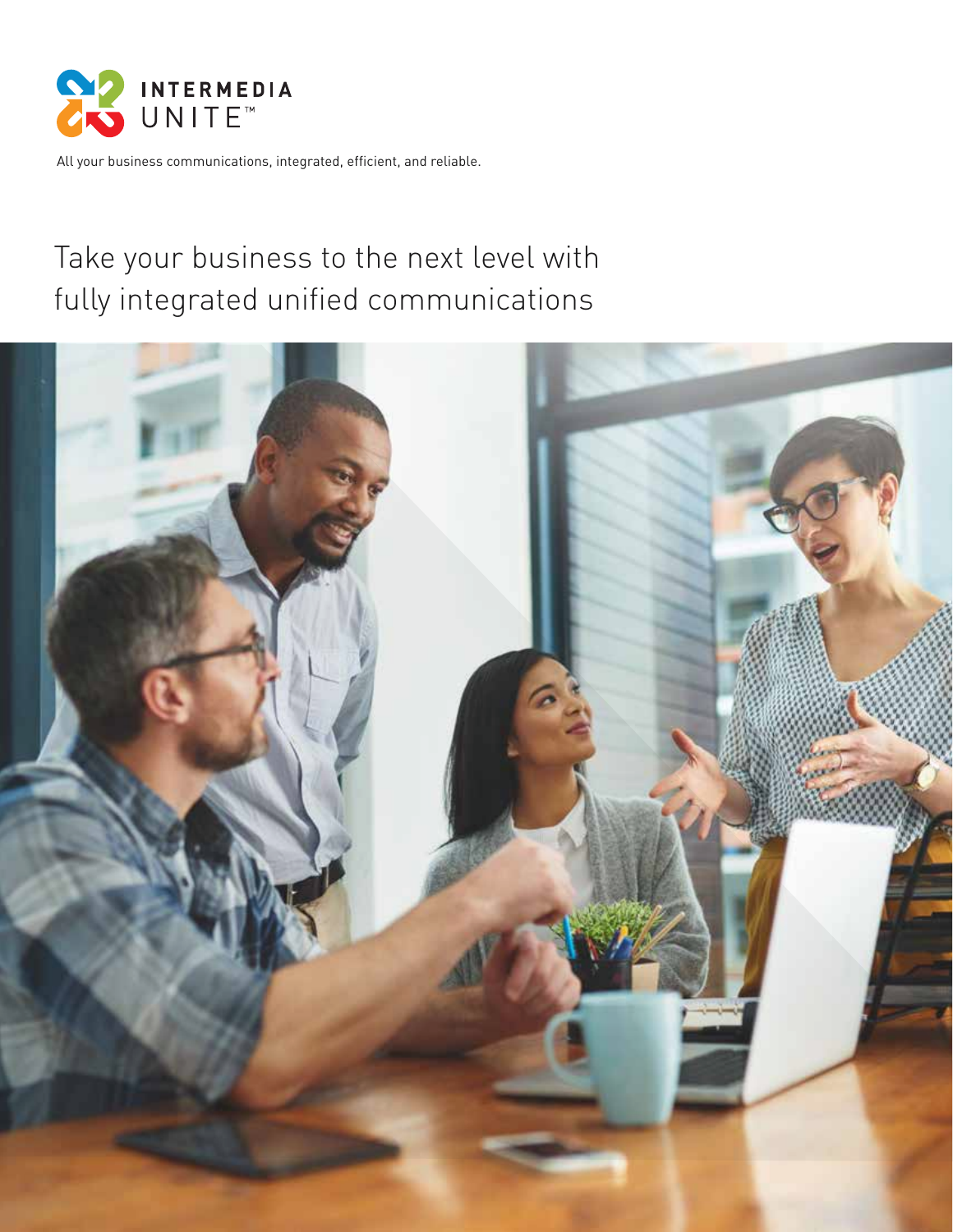

All your business communications, integrated, efficient, and reliable.

# Take your business to the next level with fully integrated unified communications

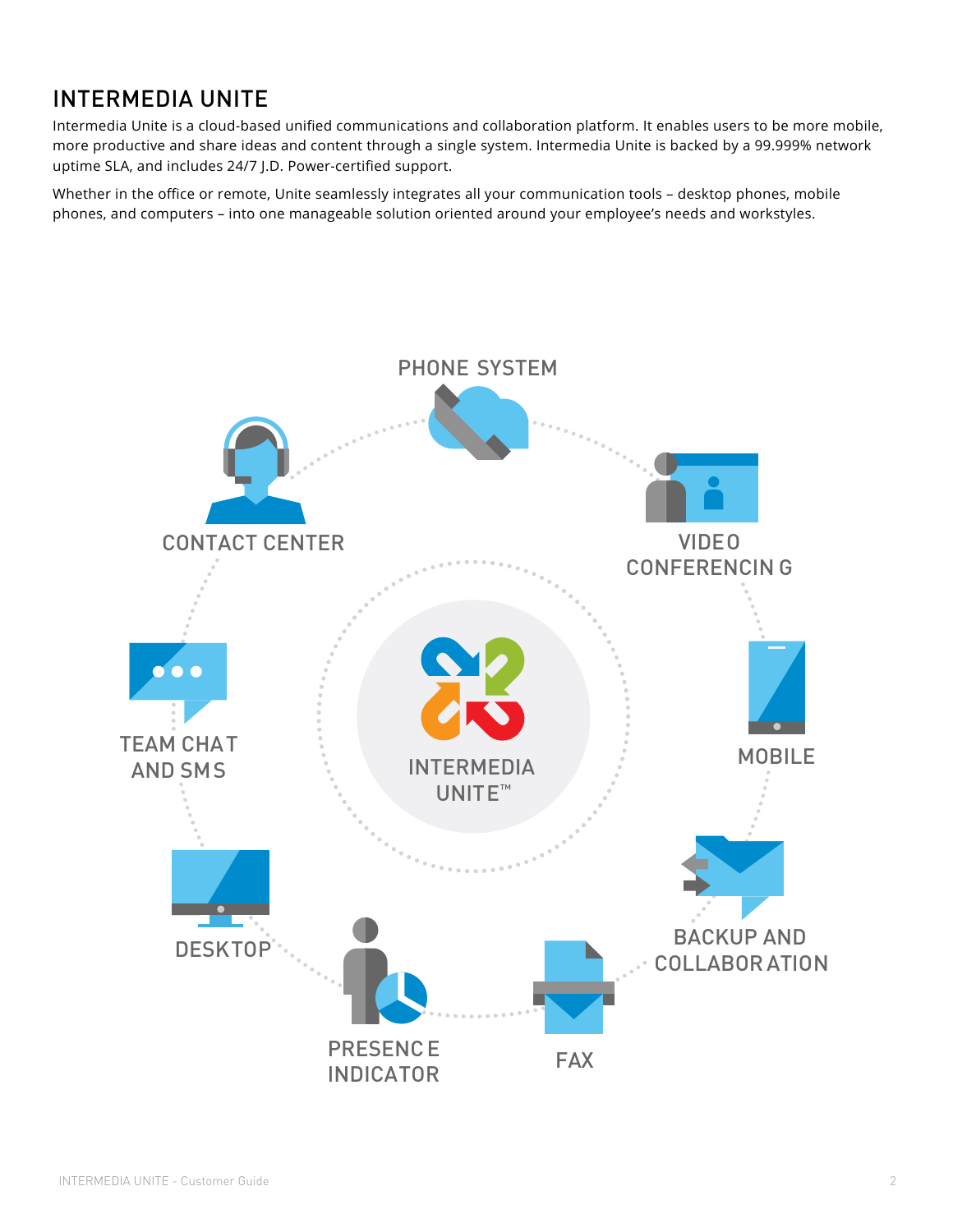## INTERMEDIA UNITE

Intermedia Unite is a cloud-based unified communications and collaboration platform. It enables users to be more mobile, more productive and share ideas and content through a single system. Intermedia Unite is backed by a 99.999% network uptime SLA, and includes 24/7 J.D. Power-certified support.

Whether in the office or remote, Unite seamlessly integrates all your communication tools – desktop phones, mobile phones, and computers – into one manageable solution oriented around your employee's needs and workstyles.

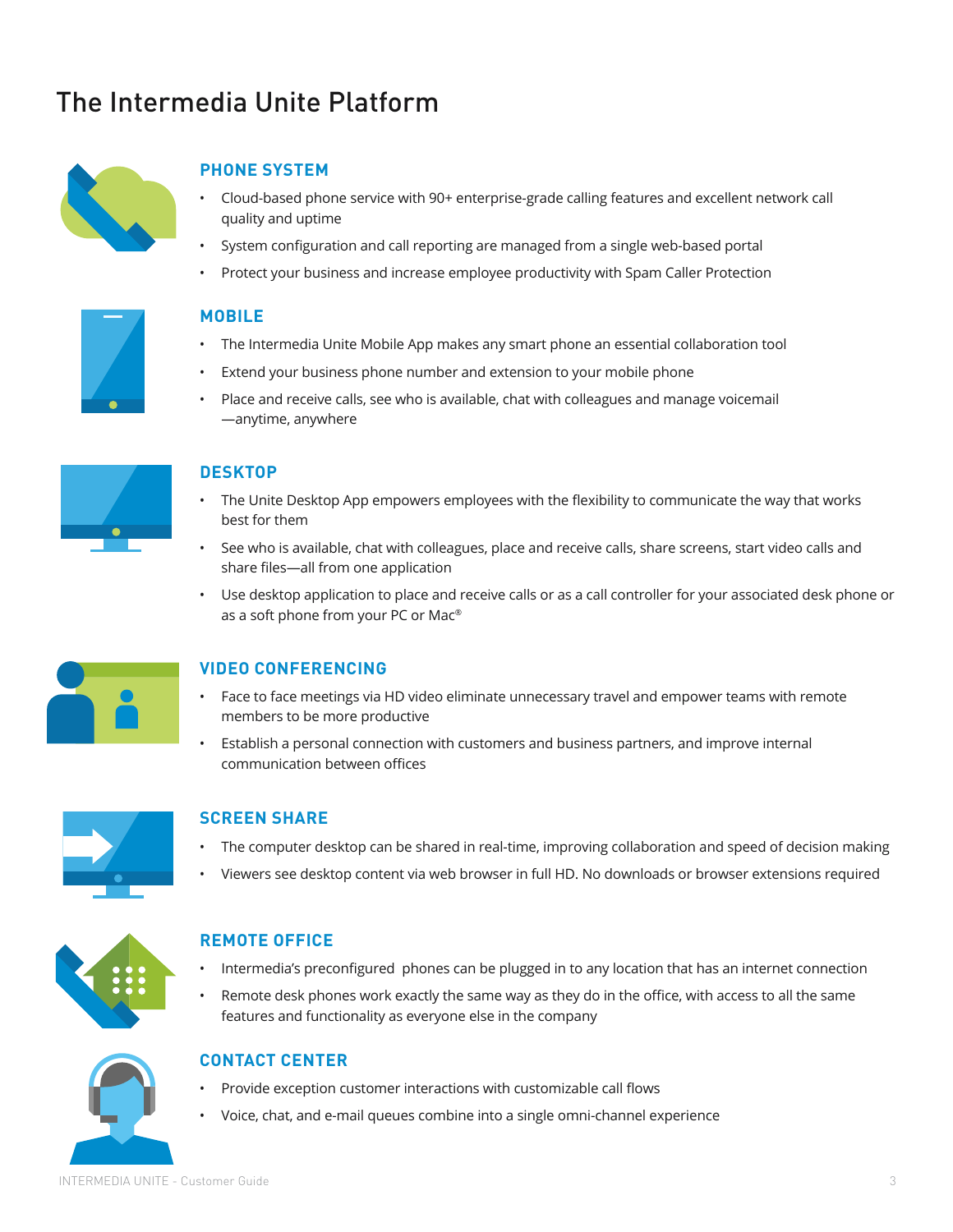# The Intermedia Unite Platform



## **PHONE SYSTEM**

- Cloud-based phone service with 90+ enterprise-grade calling features and excellent network call quality and uptime
- System configuration and call reporting are managed from a single web-based portal
- Protect your business and increase employee productivity with Spam Caller Protection



### **MOBILE**

- The Intermedia Unite Mobile App makes any smart phone an essential collaboration tool
- Extend your business phone number and extension to your mobile phone
- Place and receive calls, see who is available, chat with colleagues and manage voicemail —anytime, anywhere



## **DESKTOP**

- The Unite Desktop App empowers employees with the flexibility to communicate the way that works best for them
- See who is available, chat with colleagues, place and receive calls, share screens, start video calls and share files—all from one application
- Use desktop application to place and receive calls or as a call controller for your associated desk phone or as a soft phone from your PC or Mac®



## **VIDEO CONFERENCING**

- Face to face meetings via HD video eliminate unnecessary travel and empower teams with remote members to be more productive
- Establish a personal connection with customers and business partners, and improve internal communication between offices



## **SCREEN SHARE**

- The computer desktop can be shared in real-time, improving collaboration and speed of decision making
- Viewers see desktop content via web browser in full HD. No downloads or browser extensions required



## **REMOTE OFFICE**

- Intermedia's preconfigured phones can be plugged in to any location that has an internet connection
- Remote desk phones work exactly the same way as they do in the office, with access to all the same features and functionality as everyone else in the company



### **CONTACT CENTER**

- Provide exception customer interactions with customizable call flows
- Voice, chat, and e-mail queues combine into a single omni-channel experience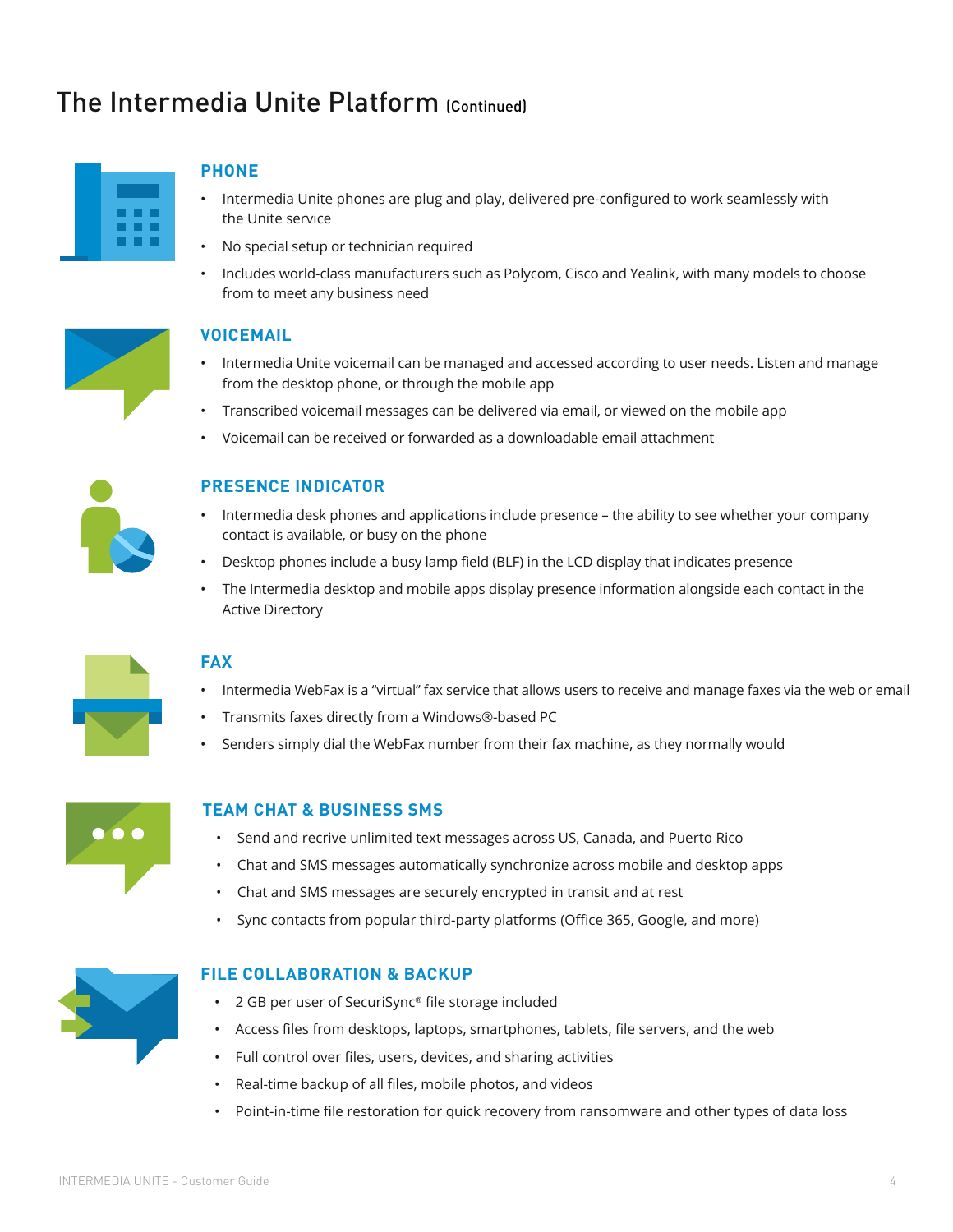## The Intermedia Unite Platform (Continued)



### **PHONE**

- Intermedia Unite phones are plug and play, delivered pre-configured to work seamlessly with the Unite service
- No special setup or technician required
- Includes world-class manufacturers such as Polycom, Cisco and Yealink, with many models to choose from to meet any business need



#### **VOICEMAIL**

- Intermedia Unite voicemail can be managed and accessed according to user needs. Listen and manage from the desktop phone, or through the mobile app
- Transcribed voicemail messages can be delivered via email, or viewed on the mobile app
- Voicemail can be received or forwarded as a downloadable email attachment



### **PRESENCE INDICATOR**

- Intermedia desk phones and applications include presence the ability to see whether your company contact is available, or busy on the phone
- Desktop phones include a busy lamp field (BLF) in the LCD display that indicates presence
- The Intermedia desktop and mobile apps display presence information alongside each contact in the Active Directory



### **FAX**

- Intermedia WebFax is a "virtual" fax service that allows users to receive and manage faxes via the web or email
- Transmits faxes directly from a Windows®-based PC
- Senders simply dial the WebFax number from their fax machine, as they normally would



#### **TEAM CHAT & BUSINESS SMS**

- Send and recrive unlimited text messages across US, Canada, and Puerto Rico
- Chat and SMS messages automatically synchronize across mobile and desktop apps
- Chat and SMS messages are securely encrypted in transit and at rest
- Sync contacts from popular third-party platforms (Office 365, Google, and more)



#### **FILE COLLABORATION & BACKUP**

- 2 GB per user of SecuriSync® file storage included
- Access files from desktops, laptops, smartphones, tablets, file servers, and the web
- Full control over files, users, devices, and sharing activities
- Real-time backup of all files, mobile photos, and videos
- Point-in-time file restoration for quick recovery from ransomware and other types of data loss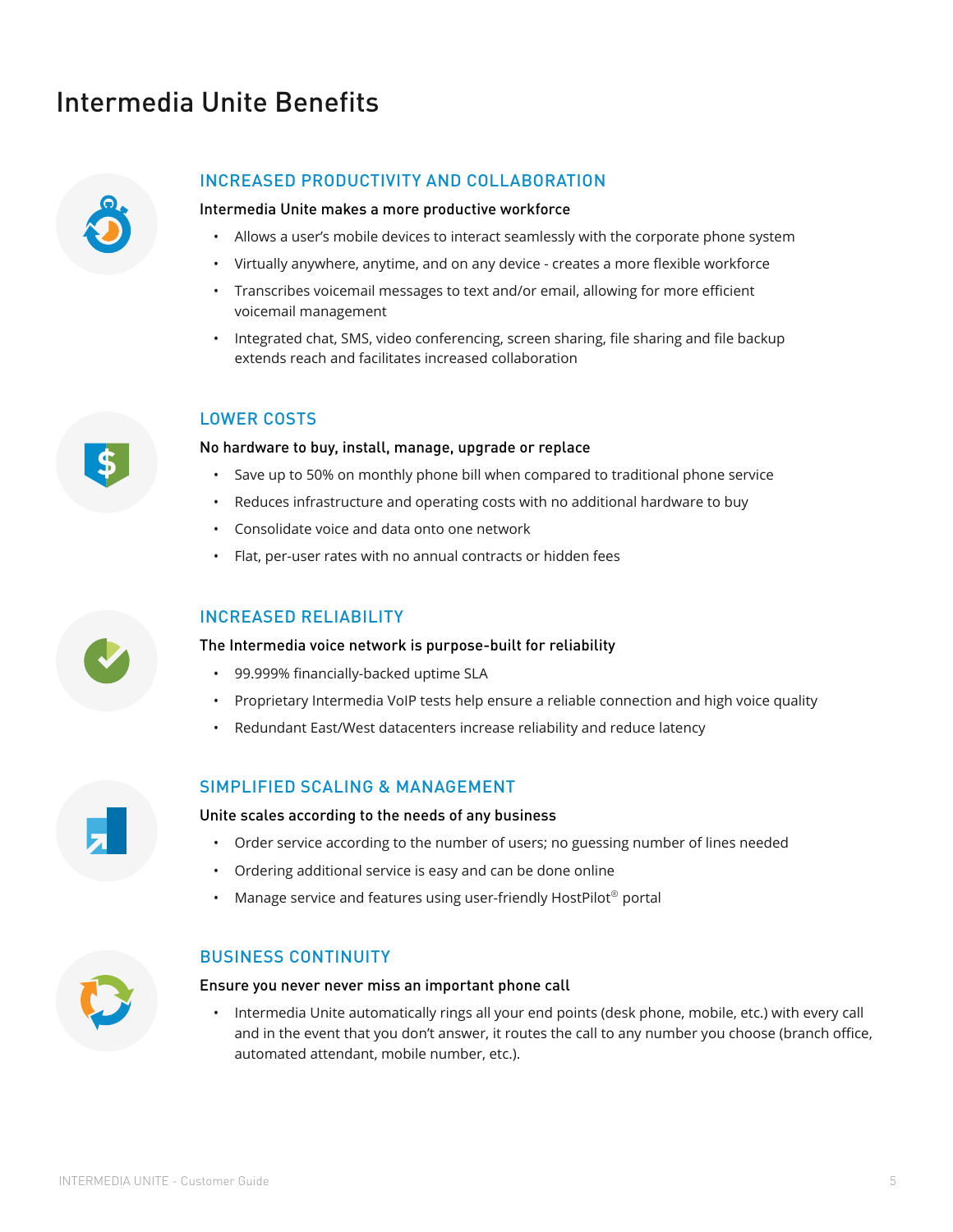## Intermedia Unite Benefits



### INCREASED PRODUCTIVITY AND COLLABORATION

#### Intermedia Unite makes a more productive workforce

- Allows a user's mobile devices to interact seamlessly with the corporate phone system
- Virtually anywhere, anytime, and on any device creates a more flexible workforce
- Transcribes voicemail messages to text and/or email, allowing for more efficient voicemail management
- Integrated chat, SMS, video conferencing, screen sharing, file sharing and file backup extends reach and facilitates increased collaboration

#### LOWER COSTS

#### No hardware to buy, install, manage, upgrade or replace

- Save up to 50% on monthly phone bill when compared to traditional phone service
- Reduces infrastructure and operating costs with no additional hardware to buy
- Consolidate voice and data onto one network
- Flat, per-user rates with no annual contracts or hidden fees

#### INCREASED RELIABILITY

#### The Intermedia voice network is purpose-built for reliability

- 99.999% financially-backed uptime SLA
- Proprietary Intermedia VoIP tests help ensure a reliable connection and high voice quality
- Redundant East/West datacenters increase reliability and reduce latency

#### SIMPLIFIED SCALING & MANAGEMENT

Unite scales according to the needs of any business

- Order service according to the number of users; no guessing number of lines needed
- Ordering additional service is easy and can be done online
- Manage service and features using user-friendly HostPilot<sup>®</sup> portal



### BUSINESS CONTINUITY

#### Ensure you never never miss an important phone call

• Intermedia Unite automatically rings all your end points (desk phone, mobile, etc.) with every call and in the event that you don't answer, it routes the call to any number you choose (branch office, automated attendant, mobile number, etc.).

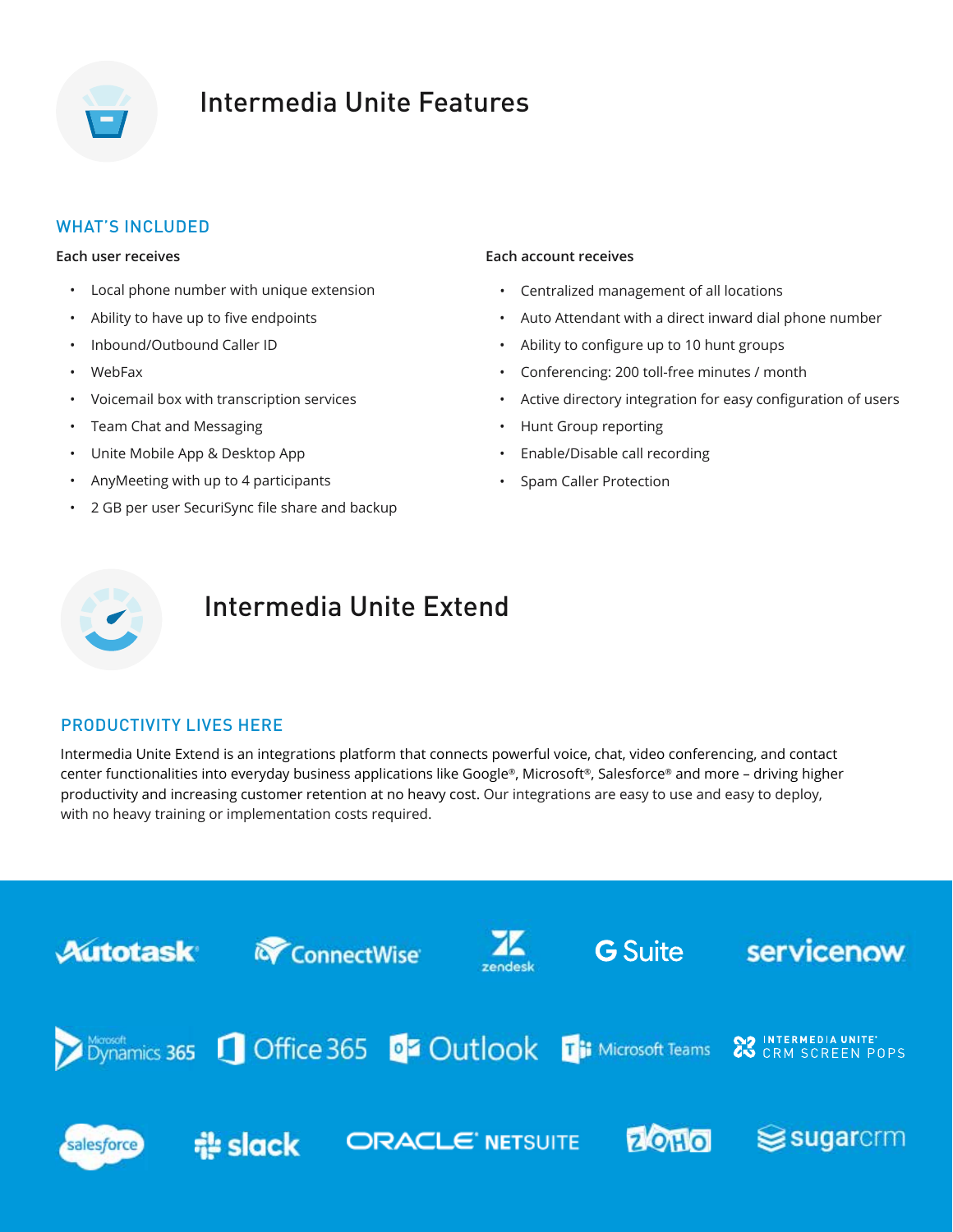

## Intermedia Unite Features

## WHAT'S INCLUDED

#### **Each user receives**

- Local phone number with unique extension
- Ability to have up to five endpoints
- Inbound/Outbound Caller ID
- WebFax
- Voicemail box with transcription services
- Team Chat and Messaging
- Unite Mobile App & Desktop App
- AnyMeeting with up to 4 participants
- 2 GB per user SecuriSync file share and backup

#### **Each account receives**

- Centralized management of all locations
- Auto Attendant with a direct inward dial phone number
- Ability to configure up to 10 hunt groups
- Conferencing: 200 toll-free minutes / month
- Active directory integration for easy configuration of users
- Hunt Group reporting
- Enable/Disable call recording
- Spam Caller Protection



## Intermedia Unite Extend

## PRODUCTIVITY LIVES HERE

Intermedia Unite Extend is an integrations platform that connects powerful voice, chat, video conferencing, and contact center functionalities into everyday business applications like Google®, Microsoft®, Salesforce® and more – driving higher productivity and increasing customer retention at no heavy cost. Our integrations are easy to use and easy to deploy, with no heavy training or implementation costs required.

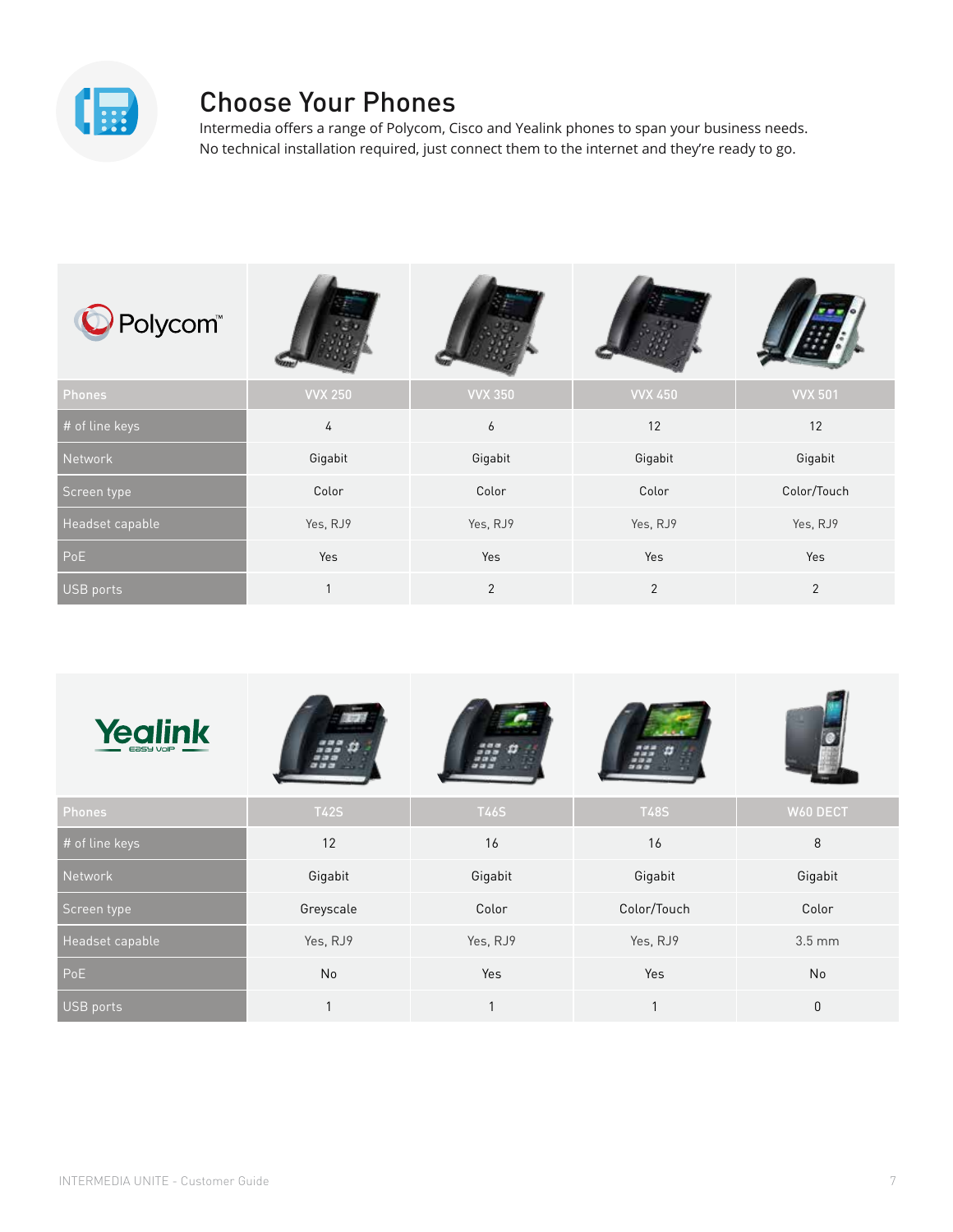

## Choose Your Phones

Intermedia offers a range of Polycom, Cisco and Yealink phones to span your business needs. No technical installation required, just connect them to the internet and they're ready to go.

| O Polycom <sup>®</sup> |                |                |                |                |
|------------------------|----------------|----------------|----------------|----------------|
| Phones                 | <b>VVX 250</b> | <b>VVX 350</b> | <b>VVX 450</b> | <b>VVX 501</b> |
| # of line keys         | 4              | 6              | 12             | 12             |
| Network                | Gigabit        | Gigabit        | Gigabit        | Gigabit        |
| Screen type            | Color          | Color          | Color          | Color/Touch    |
| Headset capable        | Yes, RJ9       | Yes, RJ9       | Yes, RJ9       | Yes, RJ9       |
| PoE                    | Yes            | Yes            | Yes            | Yes            |
| USB ports              | 1              | $\overline{2}$ | $\overline{2}$ | 2              |

| <b>Yealink</b><br>$E$ asy VolP $\_\_\_\_\$ |             |              |             |                  |
|--------------------------------------------|-------------|--------------|-------------|------------------|
| Phones                                     | <b>T42S</b> | <b>T46S</b>  | <b>T48S</b> | W60 DECT         |
| # of line keys                             | 12          | 16           | 16          | 8                |
| Network                                    | Gigabit     | Gigabit      | Gigabit     | Gigabit          |
| Screen type                                | Greyscale   | Color        | Color/Touch | Color            |
| Headset capable                            | Yes, RJ9    | Yes, RJ9     | Yes, RJ9    | $3.5 \text{ mm}$ |
| PoE                                        | No          | Yes          | Yes         | No               |
| USB ports                                  |             | $\mathbf{1}$ | 1           | $\mathbf 0$      |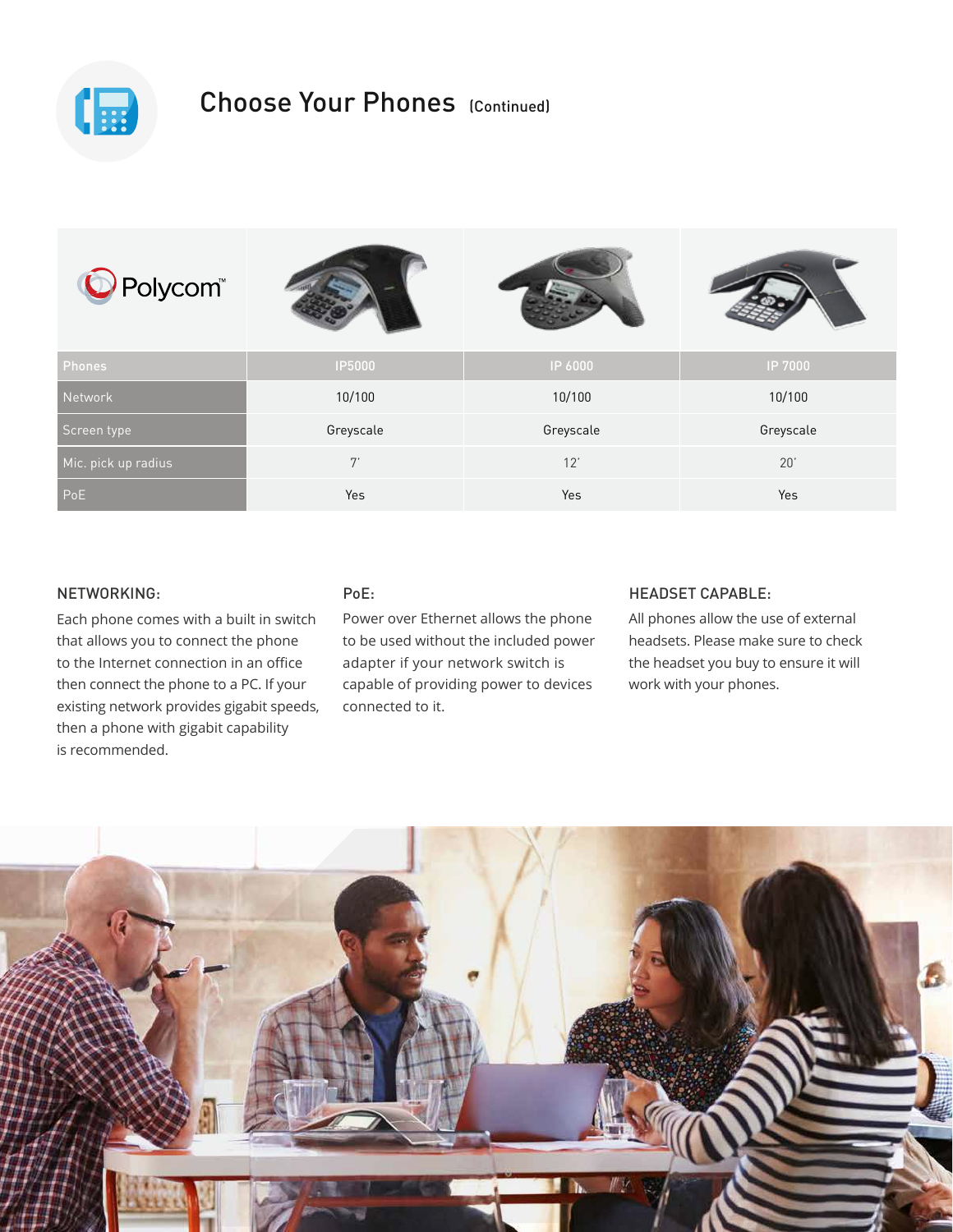

## Choose Your Phones (Continued)

| O Polycom <sup>®</sup> |           |           |           |
|------------------------|-----------|-----------|-----------|
| Phones                 | IP5000    | IP 6000   | IP 7000   |
| Network                | 10/100    | 10/100    | 10/100    |
| Screen type            | Greyscale | Greyscale | Greyscale |
| Mic. pick up radius    | 7'        | 12'       | 20'       |
| PoE                    | Yes       | Yes       | Yes       |

## NETWORKING:

Each phone comes with a built in switch that allows you to connect the phone to the Internet connection in an office then connect the phone to a PC. If your existing network provides gigabit speeds, then a phone with gigabit capability is recommended.

#### PoE:

Power over Ethernet allows the phone to be used without the included power adapter if your network switch is capable of providing power to devices connected to it.

#### HEADSET CAPABLE:

All phones allow the use of external headsets. Please make sure to check the headset you buy to ensure it will work with your phones.

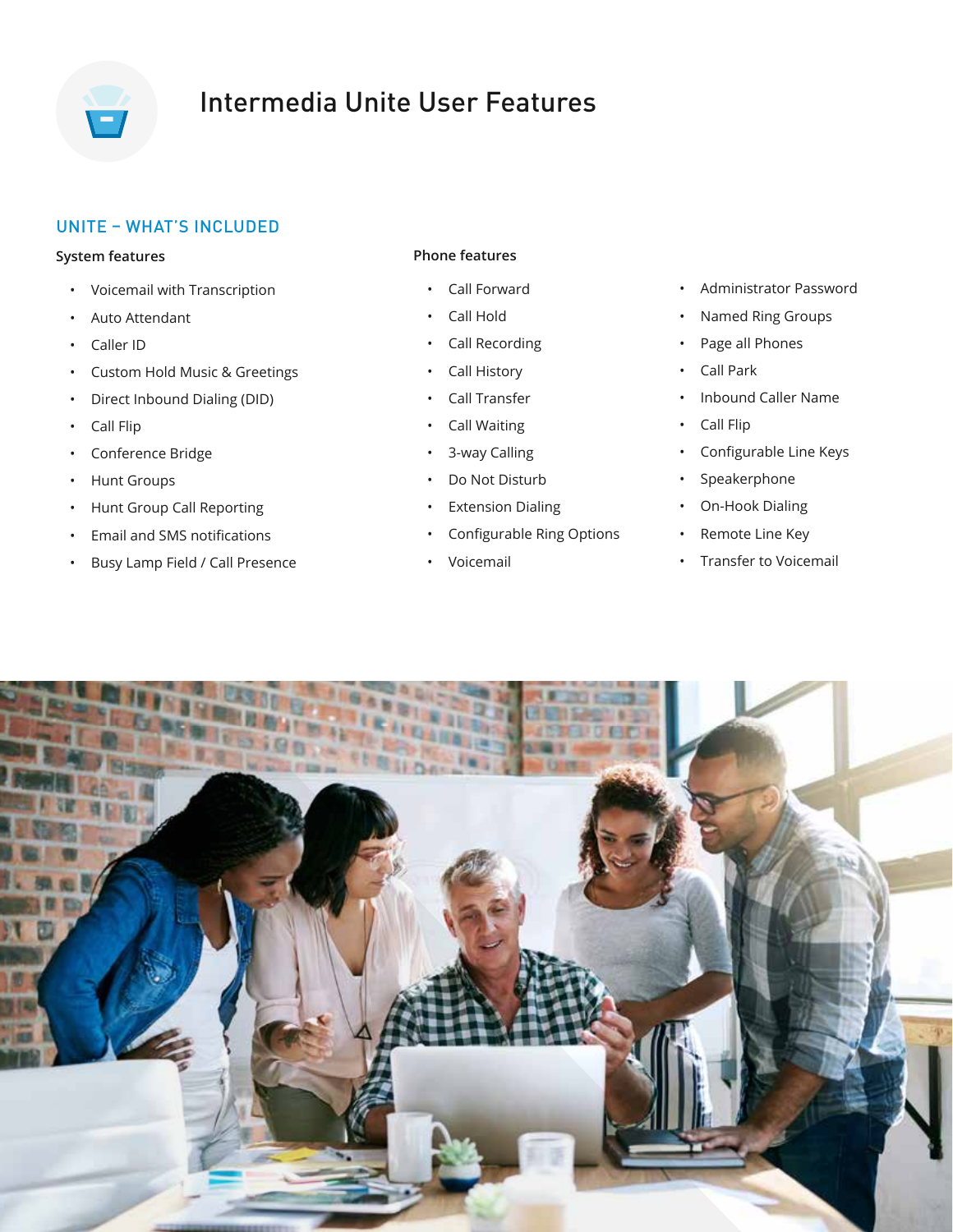

# Intermedia Unite User Features

## UNITE – WHAT'S INCLUDED

#### **System features**

- Voicemail with Transcription
- Auto Attendant
- Caller ID
- Custom Hold Music & Greetings
- Direct Inbound Dialing (DID)
- Call Flip
- Conference Bridge
- Hunt Groups
- Hunt Group Call Reporting
- Email and SMS notifications
- Busy Lamp Field / Call Presence

### **Phone features**

- Call Forward
- Call Hold
- Call Recording
- Call History
- Call Transfer
- Call Waiting
- 3-way Calling
- Do Not Disturb
- **Extension Dialing**
- Configurable Ring Options
- Voicemail
- Administrator Password
- Named Ring Groups
- Page all Phones
- Call Park
- Inbound Caller Name
- Call Flip
- Configurable Line Keys
- Speakerphone
- On-Hook Dialing
- Remote Line Key
- Transfer to Voicemail

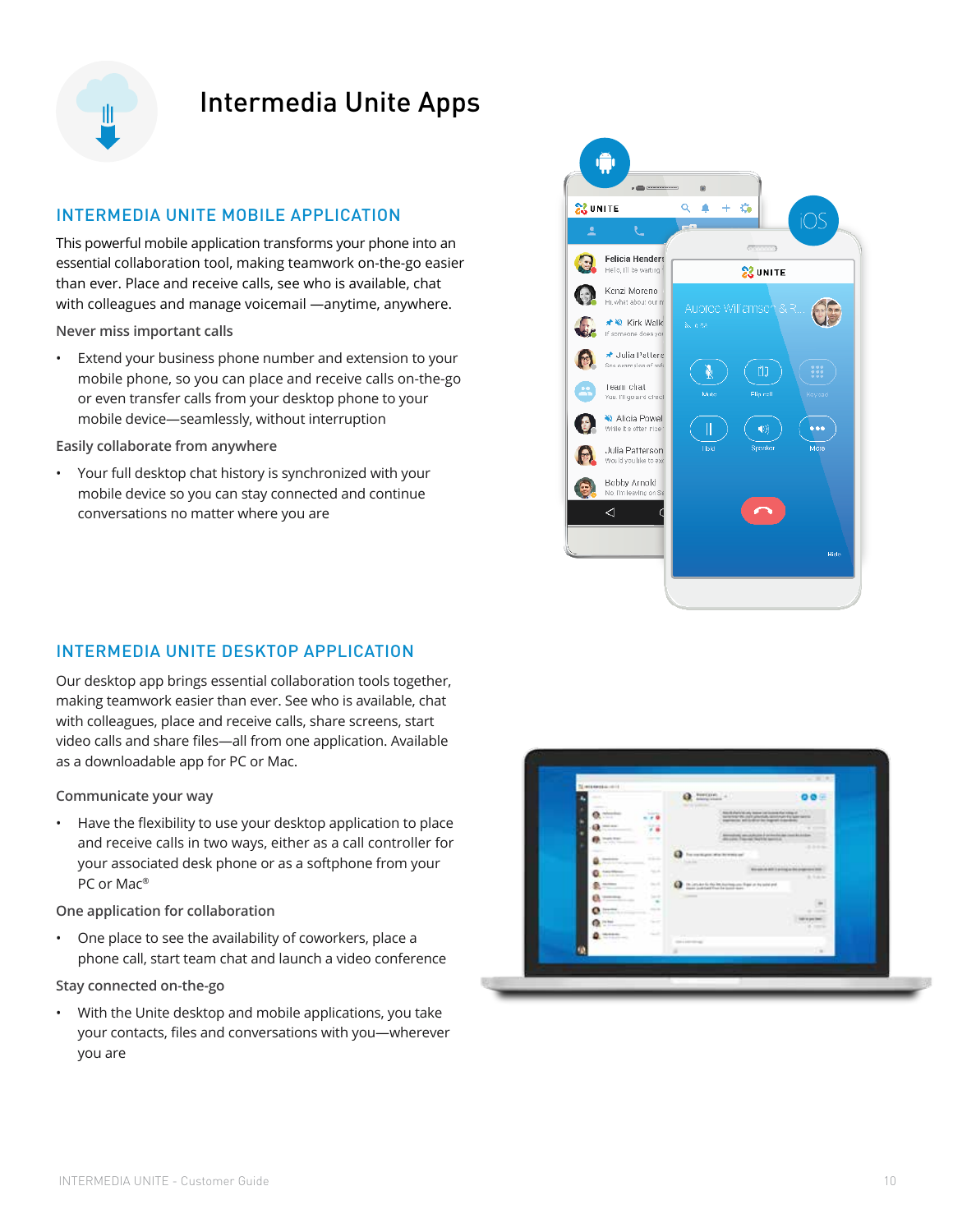

## Intermedia Unite Apps

## INTERMEDIA UNITE MOBILE APPLICATION

This powerful mobile application transforms your phone into an essential collaboration tool, making teamwork on-the-go easier than ever. Place and receive calls, see who is available, chat with colleagues and manage voicemail —anytime, anywhere.

**Never miss important calls**

• Extend your business phone number and extension to your mobile phone, so you can place and receive calls on-the-go or even transfer calls from your desktop phone to your mobile device—seamlessly, without interruption

**Easily collaborate from anywhere**

• Your full desktop chat history is synchronized with your mobile device so you can stay connected and continue conversations no matter where you are



## INTERMEDIA UNITE DESKTOP APPLICATION

Our desktop app brings essential collaboration tools together, making teamwork easier than ever. See who is available, chat with colleagues, place and receive calls, share screens, start video calls and share files—all from one application. Available as a downloadable app for PC or Mac.

**Communicate your way**

• Have the flexibility to use your desktop application to place and receive calls in two ways, either as a call controller for your associated desk phone or as a softphone from your PC or Mac®

**One application for collaboration**

• One place to see the availability of coworkers, place a phone call, start team chat and launch a video conference

**Stay connected on-the-go**

• With the Unite desktop and mobile applications, you take your contacts, files and conversations with you—wherever you are